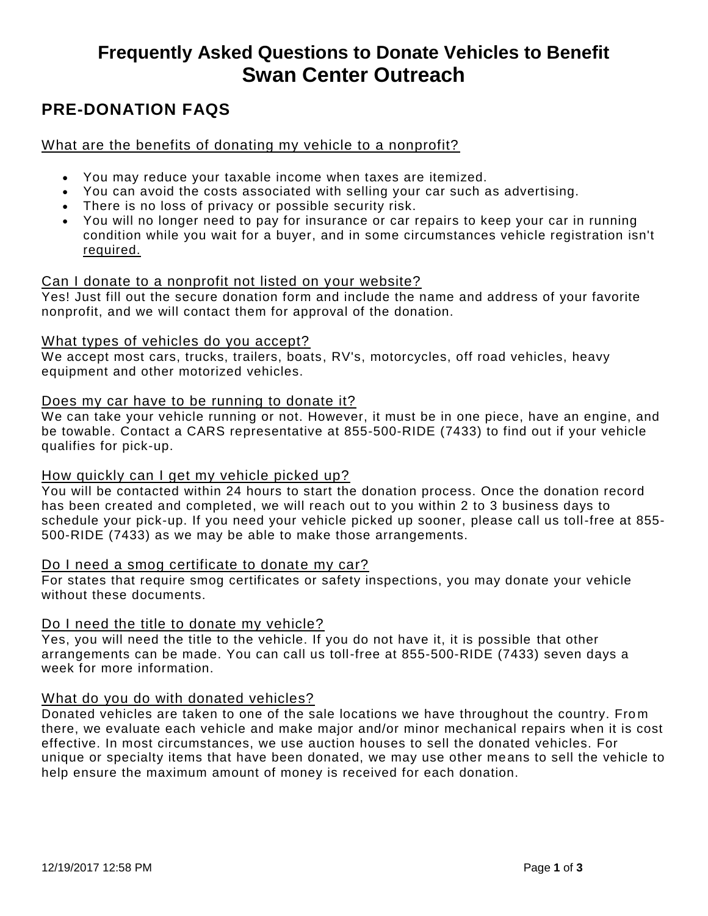# **Frequently Asked Questions to Donate Vehicles to Benefit Swan Center Outreach**

# **PRE-DONATION FAQS**

#### What are the benefits of donating my vehicle to a nonprofit?

- You may reduce your taxable income when taxes are itemized.
- You can avoid the costs associated with selling your car such as advertising.
- There is no loss of privacy or possible security risk.
- You will no longer need to pay for insurance or car repairs to keep your car in running condition while you wait for a buyer, and in some circumstances vehicle registration isn't required.

## Can I donate to a nonprofit not listed on your website?

Yes! Just fill out the secure donation form and include the name and address of your favorite nonprofit, and we will contact them for approval of the donation.

#### What types of vehicles do you accept?

We accept most cars, trucks, trailers, boats, RV's, motorcycles, off road vehicles, heavy equipment and other motorized vehicles.

#### Does my car have to be running to donate it?

We can take your vehicle running or not. However, it must be in one piece, have an engine, and be towable. Contact a CARS representative at 855-500-RIDE (7433) to find out if your vehicle qualifies for pick-up.

#### How quickly can I get my vehicle picked up?

You will be contacted within 24 hours to start the donation process. Once the donation record has been created and completed, we will reach out to you within 2 to 3 business days to schedule your pick-up. If you need your vehicle picked up sooner, please call us toll-free at 855- 500-RIDE (7433) as we may be able to make those arrangements.

#### Do I need a smog certificate to donate my car?

For states that require smog certificates or safety inspections, you may donate your vehicle without these documents.

#### Do I need the title to donate my vehicle?

Yes, you will need the title to the vehicle. If you do not have it, it is possible that other arrangements can be made. You can call us toll-free at 855-500-RIDE (7433) seven days a week for more information.

#### What do you do with donated vehicles?

Donated vehicles are taken to one of the sale locations we have throughout the country. From there, we evaluate each vehicle and make major and/or minor mechanical repairs when it is cost effective. In most circumstances, we use auction houses to sell the donated vehicles. For unique or specialty items that have been donated, we may use other means to sell the vehicle to help ensure the maximum amount of money is received for each donation.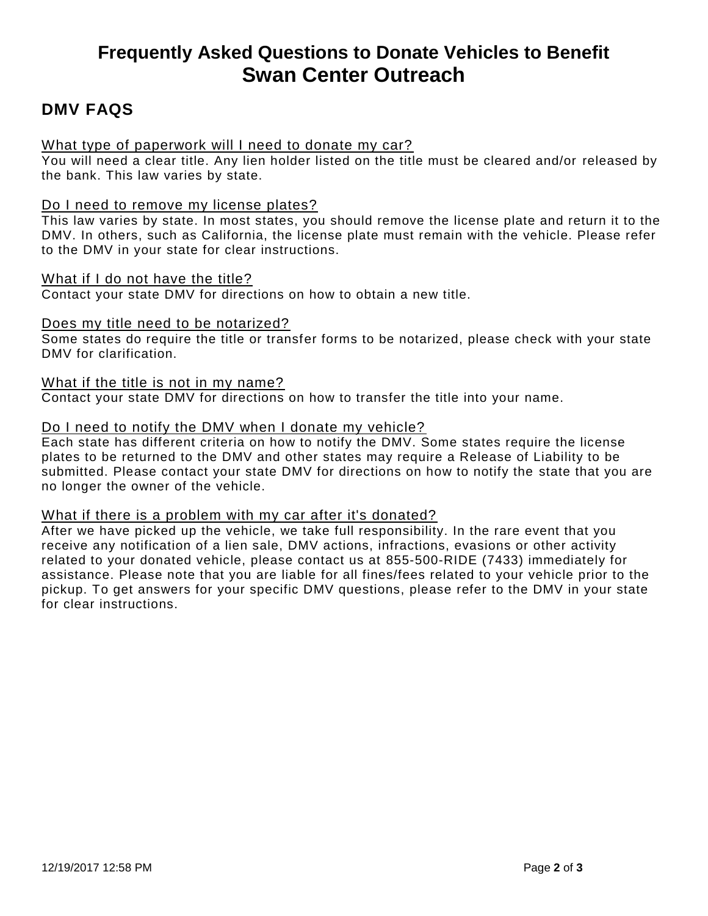# **Frequently Asked Questions to Donate Vehicles to Benefit Swan Center Outreach**

# **DMV FAQS**

## What type of paperwork will I need to donate my car?

You will need a clear title. Any lien holder listed on the title must be cleared and/or released by the bank. This law varies by state.

#### Do I need to remove my license plates?

This law varies by state. In most states, you should remove the license plate and return it to the DMV. In others, such as California, the license plate must remain with the vehicle. Please refer to the DMV in your state for clear instructions.

#### What if I do not have the title?

Contact your state DMV for directions on how to obtain a new title.

#### Does my title need to be notarized?

Some states do require the title or transfer forms to be notarized, please check with your state DMV for clarification.

#### What if the title is not in my name?

Contact your state DMV for directions on how to transfer the title into your name.

#### Do I need to notify the DMV when I donate my vehicle?

Each state has different criteria on how to notify the DMV. Some states require the license plates to be returned to the DMV and other states may require a Release of Liability to be submitted. Please contact your state DMV for directions on how to notify the state that you are no longer the owner of the vehicle.

#### What if there is a problem with my car after it's donated?

After we have picked up the vehicle, we take full responsibility. In the rare event that you receive any notification of a lien sale, DMV actions, infractions, evasions or other activity related to your donated vehicle, please contact us at 855-500-RIDE (7433) immediately for assistance. Please note that you are liable for all fines/fees related to your vehicle prior to the pickup. To get answers for your specific DMV questions, please refer to the DMV in your state for clear instructions.